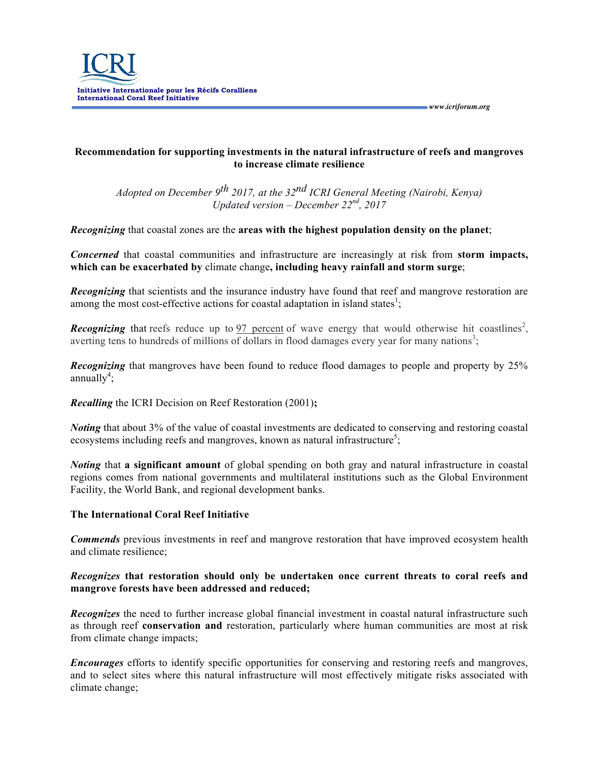

## **Recommendation for supporting investments in the natural infrastructure of reefs and mangroves to increase climate resilience**

*Adopted on December 9th 2017, at the 32nd ICRI General Meeting (Nairobi, Kenya) Updated version – December 22nd, 2017*

*Recognizing* that coastal zones are the **areas with the highest population density on the planet**;

*Concerned* that coastal communities and infrastructure are increasingly at risk from **storm impacts, which can be exacerbated by** climate change**, including heavy rainfall and storm surge**;

*Recognizing* that scientists and the insurance industry have found that reef and mangrove restoration are among the most cost-effective actions for coastal adaptation in island states<sup>1</sup>;

**Recognizing** that reefs reduce up to 97 percent of wave energy that would otherwise hit coastlines<sup>2</sup>, averting tens to hundreds of millions of dollars in flood damages every year for many nations<sup>3</sup>;

*Recognizing* that mangroves have been found to reduce flood damages to people and property by 25%  $annually<sup>4</sup>$ ;

*Recalling* the ICRI Decision on Reef Restoration (2001)**;**

*Noting* that about 3% of the value of coastal investments are dedicated to conserving and restoring coastal ecosystems including reefs and mangroves, known as natural infrastructure<sup>5</sup>;

*Noting* that **a significant amount** of global spending on both gray and natural infrastructure in coastal regions comes from national governments and multilateral institutions such as the Global Environment Facility, the World Bank, and regional development banks.

## **The International Coral Reef Initiative**

*Commends* previous investments in reef and mangrove restoration that have improved ecosystem health and climate resilience;

## *Recognizes* **that restoration should only be undertaken once current threats to coral reefs and mangrove forests have been addressed and reduced;**

*Recognizes* the need to further increase global financial investment in coastal natural infrastructure such as through reef **conservation and** restoration, particularly where human communities are most at risk from climate change impacts;

*Encourages* efforts to identify specific opportunities for conserving and restoring reefs and mangroves, and to select sites where this natural infrastructure will most effectively mitigate risks associated with climate change;